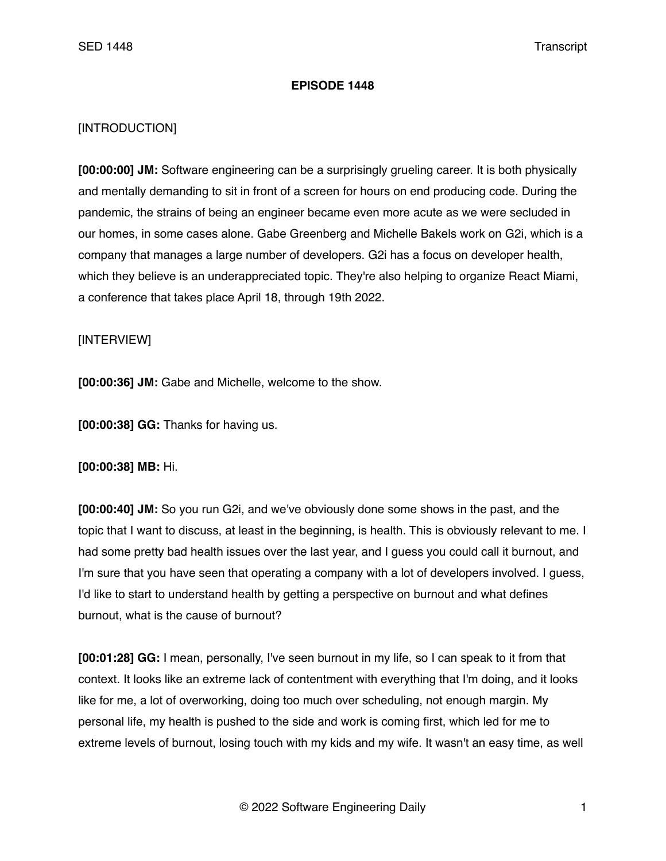## **EPISODE 1448**

## [INTRODUCTION]

**[00:00:00] JM:** Software engineering can be a surprisingly grueling career. It is both physically and mentally demanding to sit in front of a screen for hours on end producing code. During the pandemic, the strains of being an engineer became even more acute as we were secluded in our homes, in some cases alone. Gabe Greenberg and Michelle Bakels work on G2i, which is a company that manages a large number of developers. G2i has a focus on developer health, which they believe is an underappreciated topic. They're also helping to organize React Miami, a conference that takes place April 18, through 19th 2022.

## [INTERVIEW]

**[00:00:36] JM:** Gabe and Michelle, welcome to the show.

**[00:00:38] GG:** Thanks for having us.

## **[00:00:38] MB:** Hi.

**[00:00:40] JM:** So you run G2i, and we've obviously done some shows in the past, and the topic that I want to discuss, at least in the beginning, is health. This is obviously relevant to me. I had some pretty bad health issues over the last year, and I guess you could call it burnout, and I'm sure that you have seen that operating a company with a lot of developers involved. I guess, I'd like to start to understand health by getting a perspective on burnout and what defines burnout, what is the cause of burnout?

**[00:01:28] GG:** I mean, personally, I've seen burnout in my life, so I can speak to it from that context. It looks like an extreme lack of contentment with everything that I'm doing, and it looks like for me, a lot of overworking, doing too much over scheduling, not enough margin. My personal life, my health is pushed to the side and work is coming first, which led for me to extreme levels of burnout, losing touch with my kids and my wife. It wasn't an easy time, as well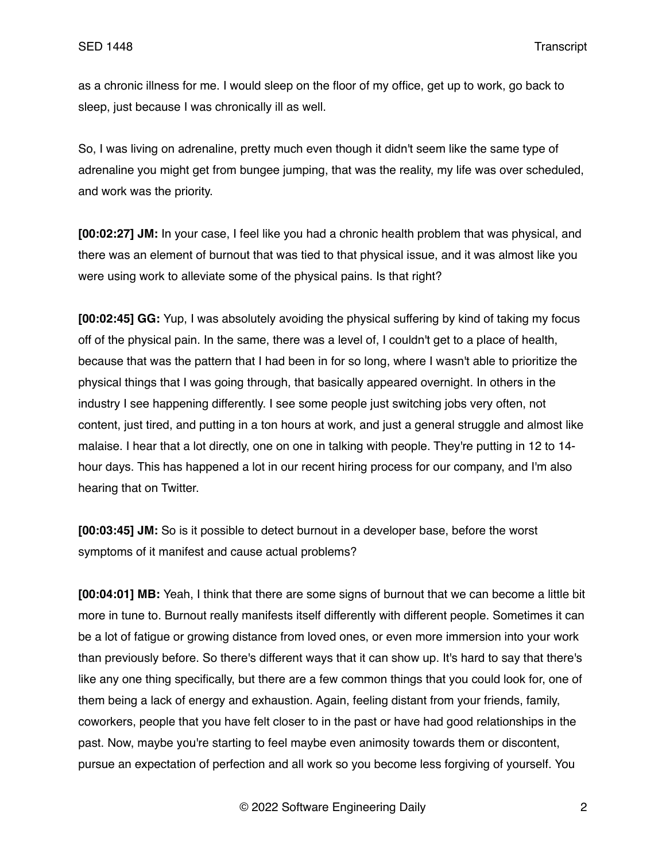as a chronic illness for me. I would sleep on the floor of my office, get up to work, go back to sleep, just because I was chronically ill as well.

So, I was living on adrenaline, pretty much even though it didn't seem like the same type of adrenaline you might get from bungee jumping, that was the reality, my life was over scheduled, and work was the priority.

**[00:02:27] JM:** In your case, I feel like you had a chronic health problem that was physical, and there was an element of burnout that was tied to that physical issue, and it was almost like you were using work to alleviate some of the physical pains. Is that right?

**[00:02:45] GG:** Yup, I was absolutely avoiding the physical suffering by kind of taking my focus off of the physical pain. In the same, there was a level of, I couldn't get to a place of health, because that was the pattern that I had been in for so long, where I wasn't able to prioritize the physical things that I was going through, that basically appeared overnight. In others in the industry I see happening differently. I see some people just switching jobs very often, not content, just tired, and putting in a ton hours at work, and just a general struggle and almost like malaise. I hear that a lot directly, one on one in talking with people. They're putting in 12 to 14 hour days. This has happened a lot in our recent hiring process for our company, and I'm also hearing that on Twitter.

**[00:03:45] JM:** So is it possible to detect burnout in a developer base, before the worst symptoms of it manifest and cause actual problems?

**[00:04:01] MB:** Yeah, I think that there are some signs of burnout that we can become a little bit more in tune to. Burnout really manifests itself differently with different people. Sometimes it can be a lot of fatigue or growing distance from loved ones, or even more immersion into your work than previously before. So there's different ways that it can show up. It's hard to say that there's like any one thing specifically, but there are a few common things that you could look for, one of them being a lack of energy and exhaustion. Again, feeling distant from your friends, family, coworkers, people that you have felt closer to in the past or have had good relationships in the past. Now, maybe you're starting to feel maybe even animosity towards them or discontent, pursue an expectation of perfection and all work so you become less forgiving of yourself. You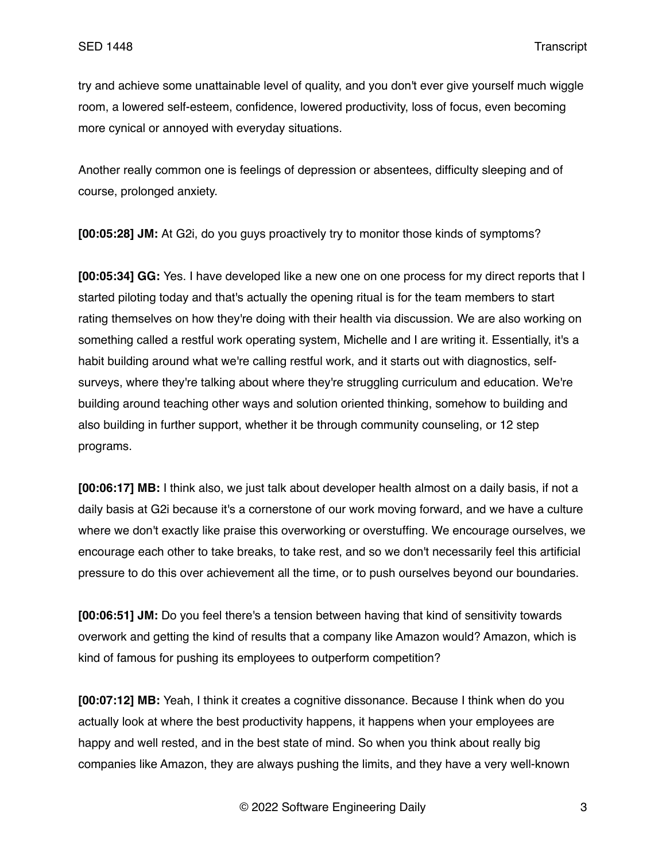try and achieve some unattainable level of quality, and you don't ever give yourself much wiggle room, a lowered self-esteem, confidence, lowered productivity, loss of focus, even becoming more cynical or annoyed with everyday situations.

Another really common one is feelings of depression or absentees, difficulty sleeping and of course, prolonged anxiety.

**[00:05:28] JM:** At G2i, do you guys proactively try to monitor those kinds of symptoms?

**[00:05:34] GG:** Yes. I have developed like a new one on one process for my direct reports that I started piloting today and that's actually the opening ritual is for the team members to start rating themselves on how they're doing with their health via discussion. We are also working on something called a restful work operating system, Michelle and I are writing it. Essentially, it's a habit building around what we're calling restful work, and it starts out with diagnostics, selfsurveys, where they're talking about where they're struggling curriculum and education. We're building around teaching other ways and solution oriented thinking, somehow to building and also building in further support, whether it be through community counseling, or 12 step programs.

**[00:06:17] MB:** I think also, we just talk about developer health almost on a daily basis, if not a daily basis at G2i because it's a cornerstone of our work moving forward, and we have a culture where we don't exactly like praise this overworking or overstuffing. We encourage ourselves, we encourage each other to take breaks, to take rest, and so we don't necessarily feel this artificial pressure to do this over achievement all the time, or to push ourselves beyond our boundaries.

**[00:06:51] JM:** Do you feel there's a tension between having that kind of sensitivity towards overwork and getting the kind of results that a company like Amazon would? Amazon, which is kind of famous for pushing its employees to outperform competition?

**[00:07:12] MB:** Yeah, I think it creates a cognitive dissonance. Because I think when do you actually look at where the best productivity happens, it happens when your employees are happy and well rested, and in the best state of mind. So when you think about really big companies like Amazon, they are always pushing the limits, and they have a very well-known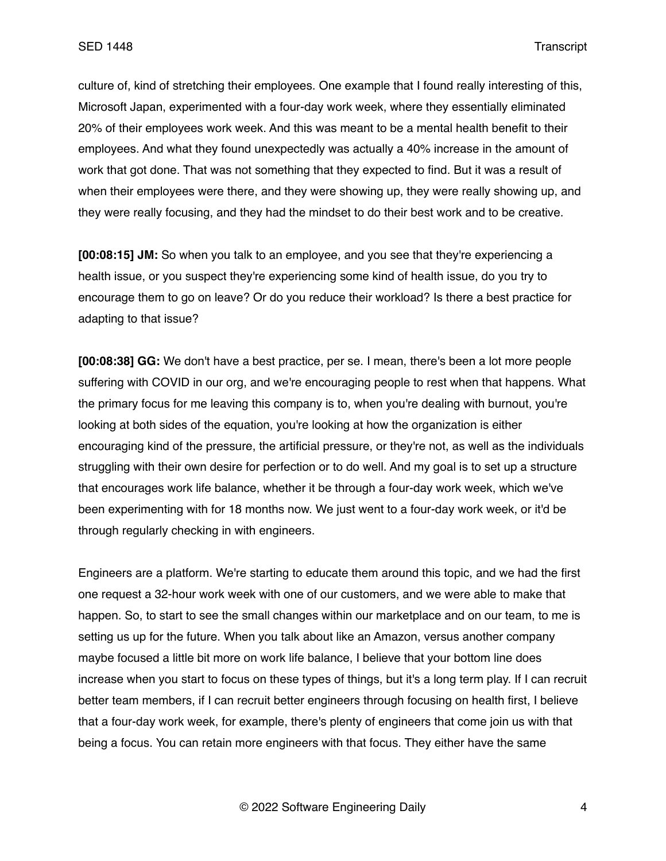culture of, kind of stretching their employees. One example that I found really interesting of this, Microsoft Japan, experimented with a four-day work week, where they essentially eliminated 20% of their employees work week. And this was meant to be a mental health benefit to their employees. And what they found unexpectedly was actually a 40% increase in the amount of work that got done. That was not something that they expected to find. But it was a result of when their employees were there, and they were showing up, they were really showing up, and they were really focusing, and they had the mindset to do their best work and to be creative.

**[00:08:15] JM:** So when you talk to an employee, and you see that they're experiencing a health issue, or you suspect they're experiencing some kind of health issue, do you try to encourage them to go on leave? Or do you reduce their workload? Is there a best practice for adapting to that issue?

**[00:08:38] GG:** We don't have a best practice, per se. I mean, there's been a lot more people suffering with COVID in our org, and we're encouraging people to rest when that happens. What the primary focus for me leaving this company is to, when you're dealing with burnout, you're looking at both sides of the equation, you're looking at how the organization is either encouraging kind of the pressure, the artificial pressure, or they're not, as well as the individuals struggling with their own desire for perfection or to do well. And my goal is to set up a structure that encourages work life balance, whether it be through a four-day work week, which we've been experimenting with for 18 months now. We just went to a four-day work week, or it'd be through regularly checking in with engineers.

Engineers are a platform. We're starting to educate them around this topic, and we had the first one request a 32-hour work week with one of our customers, and we were able to make that happen. So, to start to see the small changes within our marketplace and on our team, to me is setting us up for the future. When you talk about like an Amazon, versus another company maybe focused a little bit more on work life balance, I believe that your bottom line does increase when you start to focus on these types of things, but it's a long term play. If I can recruit better team members, if I can recruit better engineers through focusing on health first, I believe that a four-day work week, for example, there's plenty of engineers that come join us with that being a focus. You can retain more engineers with that focus. They either have the same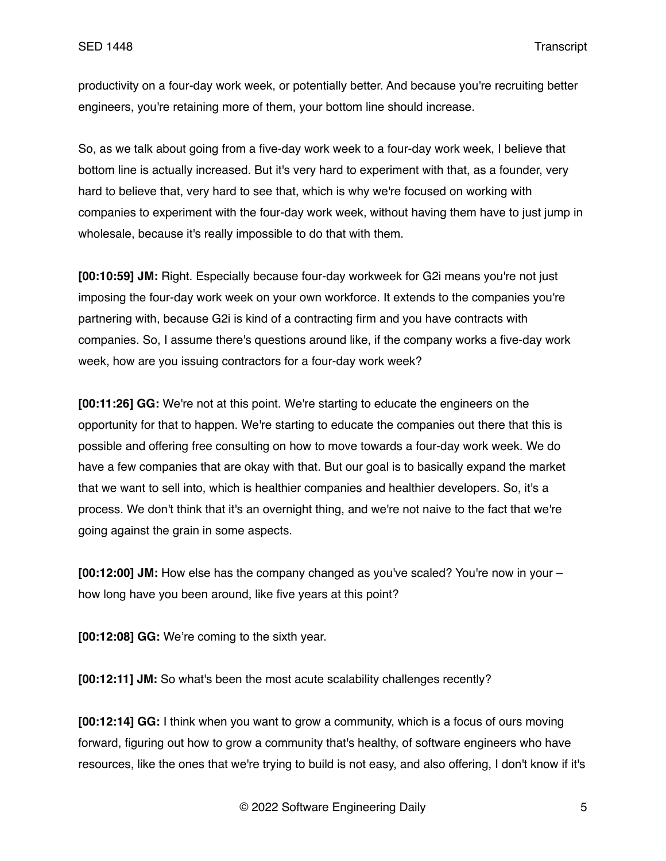productivity on a four-day work week, or potentially better. And because you're recruiting better engineers, you're retaining more of them, your bottom line should increase.

So, as we talk about going from a five-day work week to a four-day work week, I believe that bottom line is actually increased. But it's very hard to experiment with that, as a founder, very hard to believe that, very hard to see that, which is why we're focused on working with companies to experiment with the four-day work week, without having them have to just jump in wholesale, because it's really impossible to do that with them.

**[00:10:59] JM:** Right. Especially because four-day workweek for G2i means you're not just imposing the four-day work week on your own workforce. It extends to the companies you're partnering with, because G2i is kind of a contracting firm and you have contracts with companies. So, I assume there's questions around like, if the company works a five-day work week, how are you issuing contractors for a four-day work week?

**[00:11:26] GG:** We're not at this point. We're starting to educate the engineers on the opportunity for that to happen. We're starting to educate the companies out there that this is possible and offering free consulting on how to move towards a four-day work week. We do have a few companies that are okay with that. But our goal is to basically expand the market that we want to sell into, which is healthier companies and healthier developers. So, it's a process. We don't think that it's an overnight thing, and we're not naive to the fact that we're going against the grain in some aspects.

**[00:12:00] JM:** How else has the company changed as you've scaled? You're now in your – how long have you been around, like five years at this point?

**[00:12:08] GG:** We're coming to the sixth year.

**[00:12:11] JM:** So what's been the most acute scalability challenges recently?

**[00:12:14] GG:** I think when you want to grow a community, which is a focus of ours moving forward, figuring out how to grow a community that's healthy, of software engineers who have resources, like the ones that we're trying to build is not easy, and also offering, I don't know if it's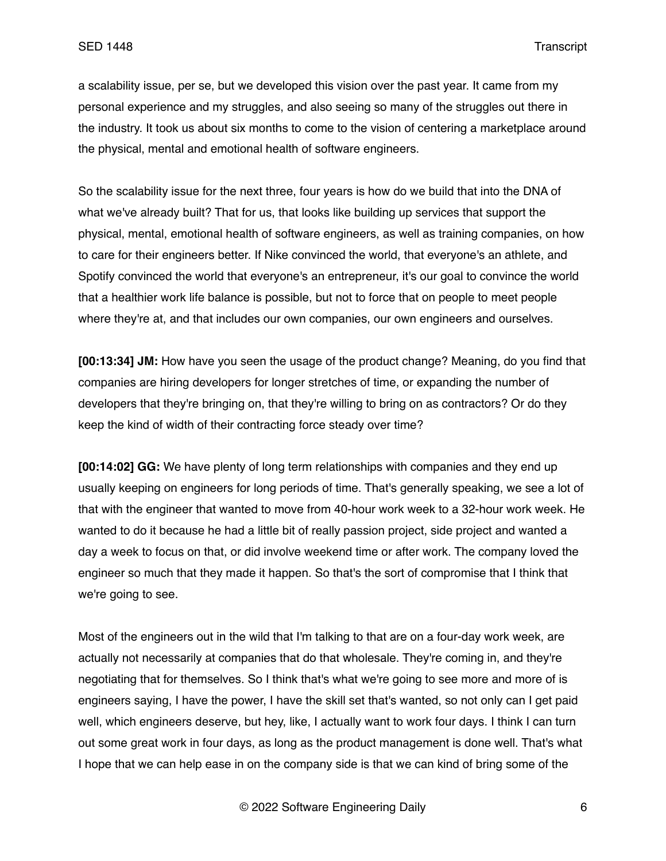a scalability issue, per se, but we developed this vision over the past year. It came from my personal experience and my struggles, and also seeing so many of the struggles out there in the industry. It took us about six months to come to the vision of centering a marketplace around the physical, mental and emotional health of software engineers.

So the scalability issue for the next three, four years is how do we build that into the DNA of what we've already built? That for us, that looks like building up services that support the physical, mental, emotional health of software engineers, as well as training companies, on how to care for their engineers better. If Nike convinced the world, that everyone's an athlete, and Spotify convinced the world that everyone's an entrepreneur, it's our goal to convince the world that a healthier work life balance is possible, but not to force that on people to meet people where they're at, and that includes our own companies, our own engineers and ourselves.

**[00:13:34] JM:** How have you seen the usage of the product change? Meaning, do you find that companies are hiring developers for longer stretches of time, or expanding the number of developers that they're bringing on, that they're willing to bring on as contractors? Or do they keep the kind of width of their contracting force steady over time?

**[00:14:02] GG:** We have plenty of long term relationships with companies and they end up usually keeping on engineers for long periods of time. That's generally speaking, we see a lot of that with the engineer that wanted to move from 40-hour work week to a 32-hour work week. He wanted to do it because he had a little bit of really passion project, side project and wanted a day a week to focus on that, or did involve weekend time or after work. The company loved the engineer so much that they made it happen. So that's the sort of compromise that I think that we're going to see.

Most of the engineers out in the wild that I'm talking to that are on a four-day work week, are actually not necessarily at companies that do that wholesale. They're coming in, and they're negotiating that for themselves. So I think that's what we're going to see more and more of is engineers saying, I have the power, I have the skill set that's wanted, so not only can I get paid well, which engineers deserve, but hey, like, I actually want to work four days. I think I can turn out some great work in four days, as long as the product management is done well. That's what I hope that we can help ease in on the company side is that we can kind of bring some of the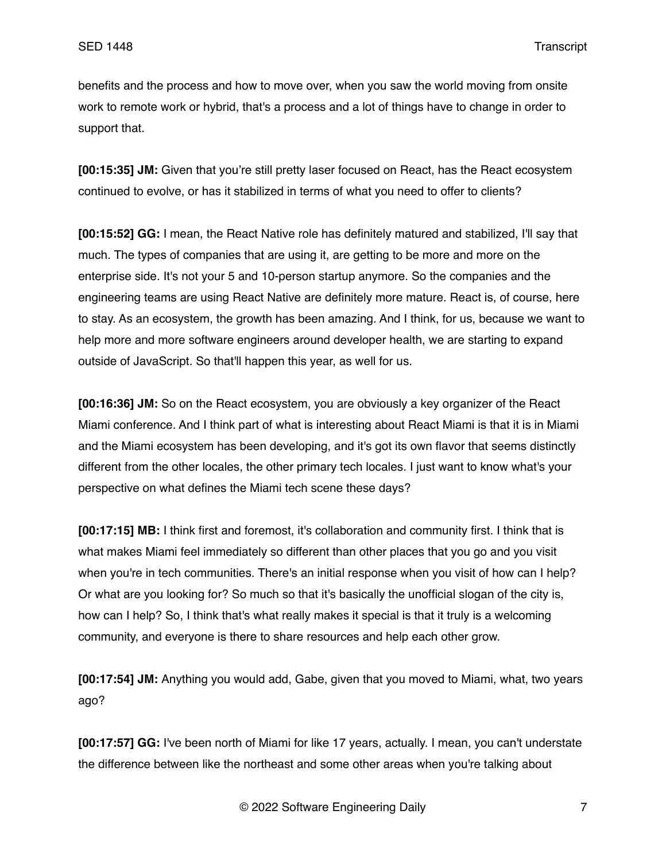benefits and the process and how to move over, when you saw the world moving from onsite work to remote work or hybrid, that's a process and a lot of things have to change in order to support that.

**[00:15:35] JM:** Given that you're still pretty laser focused on React, has the React ecosystem continued to evolve, or has it stabilized in terms of what you need to offer to clients?

**[00:15:52] GG:** I mean, the React Native role has definitely matured and stabilized, I'll say that much. The types of companies that are using it, are getting to be more and more on the enterprise side. It's not your 5 and 10-person startup anymore. So the companies and the engineering teams are using React Native are definitely more mature. React is, of course, here to stay. As an ecosystem, the growth has been amazing. And I think, for us, because we want to help more and more software engineers around developer health, we are starting to expand outside of JavaScript. So that'll happen this year, as well for us.

**[00:16:36] JM:** So on the React ecosystem, you are obviously a key organizer of the React Miami conference. And I think part of what is interesting about React Miami is that it is in Miami and the Miami ecosystem has been developing, and it's got its own flavor that seems distinctly different from the other locales, the other primary tech locales. I just want to know what's your perspective on what defines the Miami tech scene these days?

**[00:17:15] MB:** I think first and foremost, it's collaboration and community first. I think that is what makes Miami feel immediately so different than other places that you go and you visit when you're in tech communities. There's an initial response when you visit of how can I help? Or what are you looking for? So much so that it's basically the unofficial slogan of the city is, how can I help? So, I think that's what really makes it special is that it truly is a welcoming community, and everyone is there to share resources and help each other grow.

**[00:17:54] JM:** Anything you would add, Gabe, given that you moved to Miami, what, two years ago?

**[00:17:57] GG:** I've been north of Miami for like 17 years, actually. I mean, you can't understate the difference between like the northeast and some other areas when you're talking about

© 2022 Software Engineering Daily 7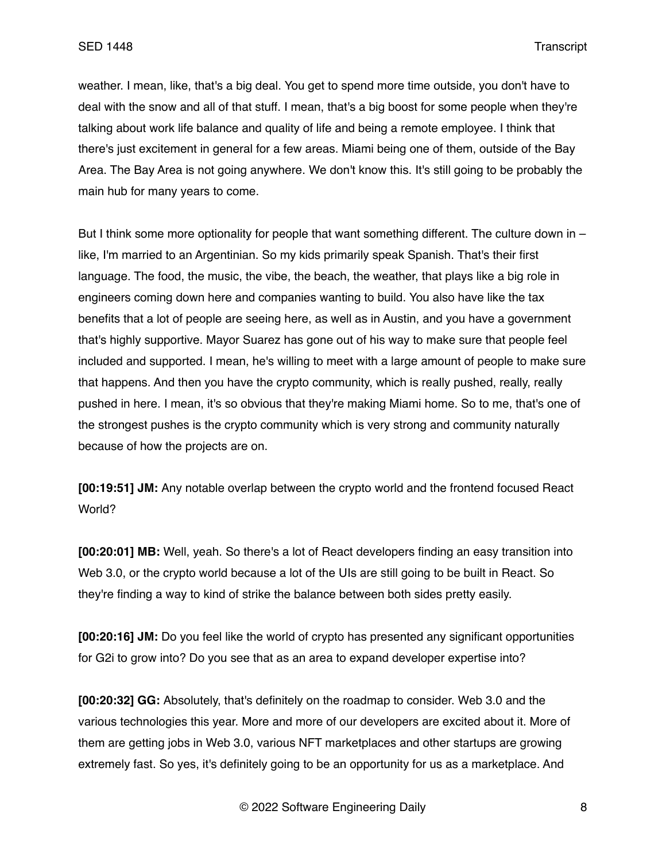weather. I mean, like, that's a big deal. You get to spend more time outside, you don't have to deal with the snow and all of that stuff. I mean, that's a big boost for some people when they're talking about work life balance and quality of life and being a remote employee. I think that there's just excitement in general for a few areas. Miami being one of them, outside of the Bay Area. The Bay Area is not going anywhere. We don't know this. It's still going to be probably the main hub for many years to come.

But I think some more optionality for people that want something different. The culture down in – like, I'm married to an Argentinian. So my kids primarily speak Spanish. That's their first language. The food, the music, the vibe, the beach, the weather, that plays like a big role in engineers coming down here and companies wanting to build. You also have like the tax benefits that a lot of people are seeing here, as well as in Austin, and you have a government that's highly supportive. Mayor Suarez has gone out of his way to make sure that people feel included and supported. I mean, he's willing to meet with a large amount of people to make sure that happens. And then you have the crypto community, which is really pushed, really, really pushed in here. I mean, it's so obvious that they're making Miami home. So to me, that's one of the strongest pushes is the crypto community which is very strong and community naturally because of how the projects are on.

**[00:19:51] JM:** Any notable overlap between the crypto world and the frontend focused React World?

**[00:20:01] MB:** Well, yeah. So there's a lot of React developers finding an easy transition into Web 3.0, or the crypto world because a lot of the UIs are still going to be built in React. So they're finding a way to kind of strike the balance between both sides pretty easily.

**[00:20:16] JM:** Do you feel like the world of crypto has presented any significant opportunities for G2i to grow into? Do you see that as an area to expand developer expertise into?

**[00:20:32] GG:** Absolutely, that's definitely on the roadmap to consider. Web 3.0 and the various technologies this year. More and more of our developers are excited about it. More of them are getting jobs in Web 3.0, various NFT marketplaces and other startups are growing extremely fast. So yes, it's definitely going to be an opportunity for us as a marketplace. And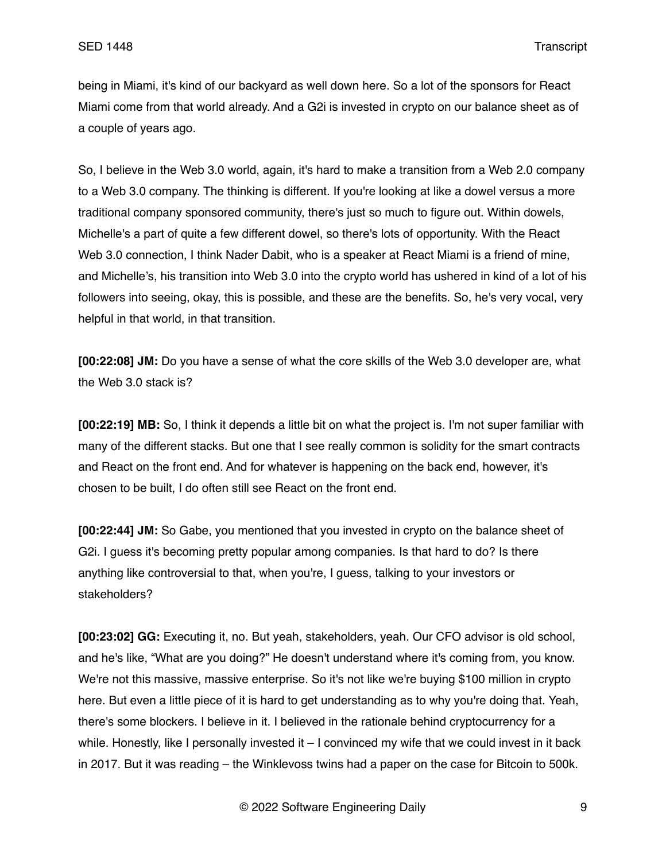being in Miami, it's kind of our backyard as well down here. So a lot of the sponsors for React Miami come from that world already. And a G2i is invested in crypto on our balance sheet as of a couple of years ago.

So, I believe in the Web 3.0 world, again, it's hard to make a transition from a Web 2.0 company to a Web 3.0 company. The thinking is different. If you're looking at like a dowel versus a more traditional company sponsored community, there's just so much to figure out. Within dowels, Michelle's a part of quite a few different dowel, so there's lots of opportunity. With the React Web 3.0 connection, I think Nader Dabit, who is a speaker at React Miami is a friend of mine, and Michelle's, his transition into Web 3.0 into the crypto world has ushered in kind of a lot of his followers into seeing, okay, this is possible, and these are the benefits. So, he's very vocal, very helpful in that world, in that transition.

**[00:22:08] JM:** Do you have a sense of what the core skills of the Web 3.0 developer are, what the Web 3.0 stack is?

**[00:22:19] MB:** So, I think it depends a little bit on what the project is. I'm not super familiar with many of the different stacks. But one that I see really common is solidity for the smart contracts and React on the front end. And for whatever is happening on the back end, however, it's chosen to be built, I do often still see React on the front end.

**[00:22:44] JM:** So Gabe, you mentioned that you invested in crypto on the balance sheet of G2i. I guess it's becoming pretty popular among companies. Is that hard to do? Is there anything like controversial to that, when you're, I guess, talking to your investors or stakeholders?

**[00:23:02] GG:** Executing it, no. But yeah, stakeholders, yeah. Our CFO advisor is old school, and he's like, "What are you doing?" He doesn't understand where it's coming from, you know. We're not this massive, massive enterprise. So it's not like we're buying \$100 million in crypto here. But even a little piece of it is hard to get understanding as to why you're doing that. Yeah, there's some blockers. I believe in it. I believed in the rationale behind cryptocurrency for a while. Honestly, like I personally invested it – I convinced my wife that we could invest in it back in 2017. But it was reading – the Winklevoss twins had a paper on the case for Bitcoin to 500k.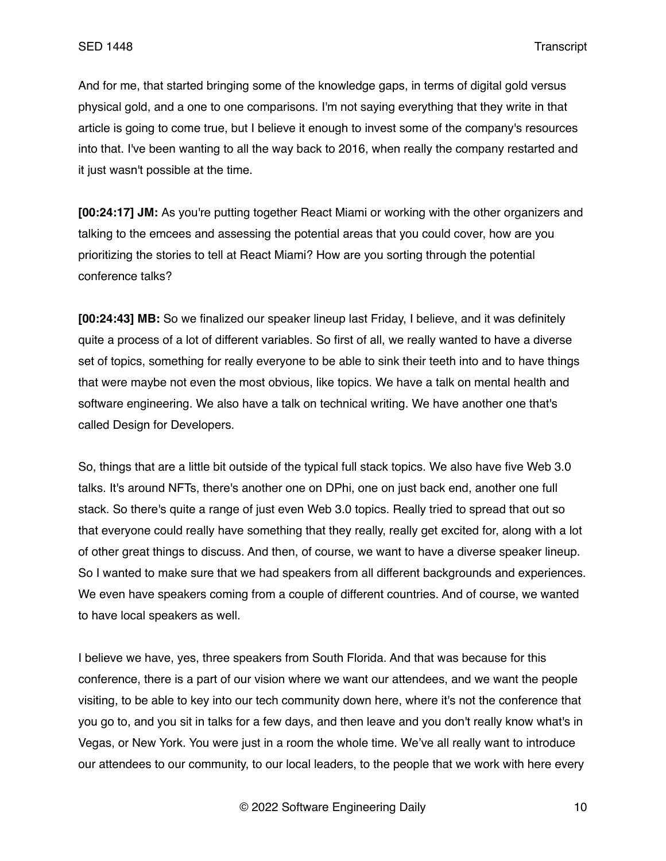And for me, that started bringing some of the knowledge gaps, in terms of digital gold versus physical gold, and a one to one comparisons. I'm not saying everything that they write in that article is going to come true, but I believe it enough to invest some of the company's resources into that. I've been wanting to all the way back to 2016, when really the company restarted and it just wasn't possible at the time.

**[00:24:17] JM:** As you're putting together React Miami or working with the other organizers and talking to the emcees and assessing the potential areas that you could cover, how are you prioritizing the stories to tell at React Miami? How are you sorting through the potential conference talks?

**[00:24:43] MB:** So we finalized our speaker lineup last Friday, I believe, and it was definitely quite a process of a lot of different variables. So first of all, we really wanted to have a diverse set of topics, something for really everyone to be able to sink their teeth into and to have things that were maybe not even the most obvious, like topics. We have a talk on mental health and software engineering. We also have a talk on technical writing. We have another one that's called Design for Developers.

So, things that are a little bit outside of the typical full stack topics. We also have five Web 3.0 talks. It's around NFTs, there's another one on DPhi, one on just back end, another one full stack. So there's quite a range of just even Web 3.0 topics. Really tried to spread that out so that everyone could really have something that they really, really get excited for, along with a lot of other great things to discuss. And then, of course, we want to have a diverse speaker lineup. So I wanted to make sure that we had speakers from all different backgrounds and experiences. We even have speakers coming from a couple of different countries. And of course, we wanted to have local speakers as well.

I believe we have, yes, three speakers from South Florida. And that was because for this conference, there is a part of our vision where we want our attendees, and we want the people visiting, to be able to key into our tech community down here, where it's not the conference that you go to, and you sit in talks for a few days, and then leave and you don't really know what's in Vegas, or New York. You were just in a room the whole time. We've all really want to introduce our attendees to our community, to our local leaders, to the people that we work with here every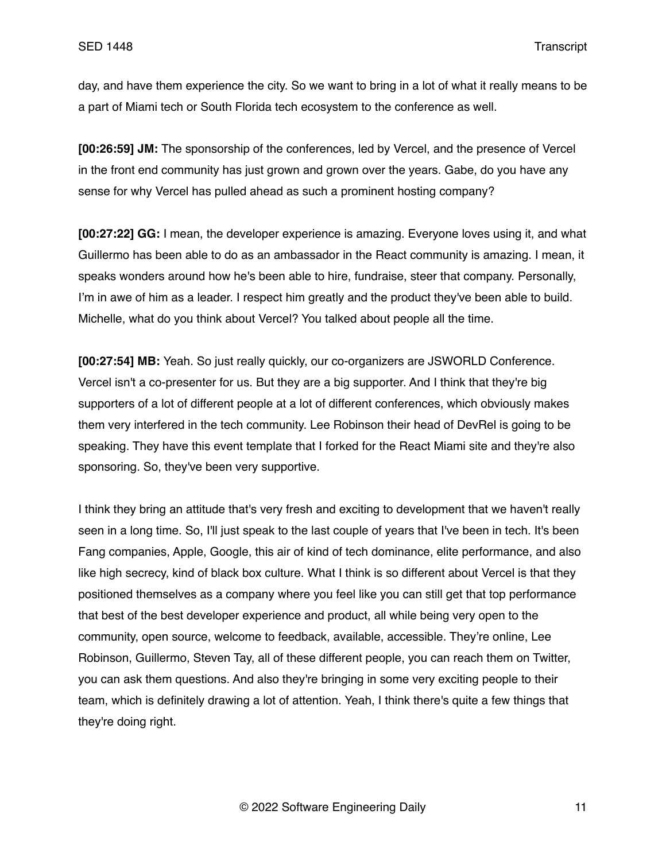day, and have them experience the city. So we want to bring in a lot of what it really means to be a part of Miami tech or South Florida tech ecosystem to the conference as well.

**[00:26:59] JM:** The sponsorship of the conferences, led by Vercel, and the presence of Vercel in the front end community has just grown and grown over the years. Gabe, do you have any sense for why Vercel has pulled ahead as such a prominent hosting company?

**[00:27:22] GG:** I mean, the developer experience is amazing. Everyone loves using it, and what Guillermo has been able to do as an ambassador in the React community is amazing. I mean, it speaks wonders around how he's been able to hire, fundraise, steer that company. Personally, I'm in awe of him as a leader. I respect him greatly and the product they've been able to build. Michelle, what do you think about Vercel? You talked about people all the time.

**[00:27:54] MB:** Yeah. So just really quickly, our co-organizers are JSWORLD Conference. Vercel isn't a co-presenter for us. But they are a big supporter. And I think that they're big supporters of a lot of different people at a lot of different conferences, which obviously makes them very interfered in the tech community. Lee Robinson their head of DevRel is going to be speaking. They have this event template that I forked for the React Miami site and they're also sponsoring. So, they've been very supportive.

I think they bring an attitude that's very fresh and exciting to development that we haven't really seen in a long time. So, I'll just speak to the last couple of years that I've been in tech. It's been Fang companies, Apple, Google, this air of kind of tech dominance, elite performance, and also like high secrecy, kind of black box culture. What I think is so different about Vercel is that they positioned themselves as a company where you feel like you can still get that top performance that best of the best developer experience and product, all while being very open to the community, open source, welcome to feedback, available, accessible. They're online, Lee Robinson, Guillermo, Steven Tay, all of these different people, you can reach them on Twitter, you can ask them questions. And also they're bringing in some very exciting people to their team, which is definitely drawing a lot of attention. Yeah, I think there's quite a few things that they're doing right.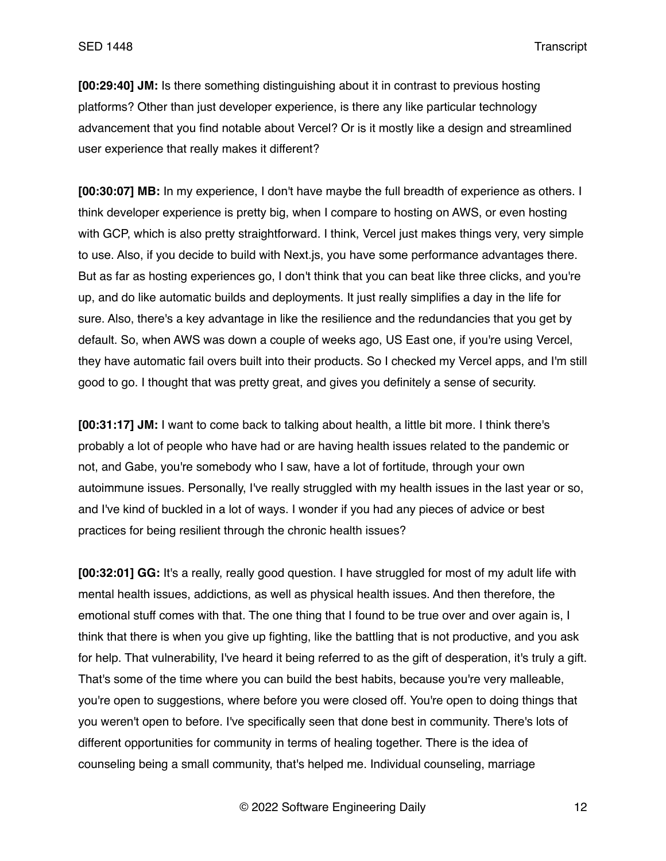**[00:29:40] JM:** Is there something distinguishing about it in contrast to previous hosting platforms? Other than just developer experience, is there any like particular technology advancement that you find notable about Vercel? Or is it mostly like a design and streamlined user experience that really makes it different?

**[00:30:07] MB:** In my experience, I don't have maybe the full breadth of experience as others. I think developer experience is pretty big, when I compare to hosting on AWS, or even hosting with GCP, which is also pretty straightforward. I think, Vercel just makes things very, very simple to use. Also, if you decide to build with Next.js, you have some performance advantages there. But as far as hosting experiences go, I don't think that you can beat like three clicks, and you're up, and do like automatic builds and deployments. It just really simplifies a day in the life for sure. Also, there's a key advantage in like the resilience and the redundancies that you get by default. So, when AWS was down a couple of weeks ago, US East one, if you're using Vercel, they have automatic fail overs built into their products. So I checked my Vercel apps, and I'm still good to go. I thought that was pretty great, and gives you definitely a sense of security.

**[00:31:17] JM:** I want to come back to talking about health, a little bit more. I think there's probably a lot of people who have had or are having health issues related to the pandemic or not, and Gabe, you're somebody who I saw, have a lot of fortitude, through your own autoimmune issues. Personally, I've really struggled with my health issues in the last year or so, and I've kind of buckled in a lot of ways. I wonder if you had any pieces of advice or best practices for being resilient through the chronic health issues?

**[00:32:01] GG:** It's a really, really good question. I have struggled for most of my adult life with mental health issues, addictions, as well as physical health issues. And then therefore, the emotional stuff comes with that. The one thing that I found to be true over and over again is, I think that there is when you give up fighting, like the battling that is not productive, and you ask for help. That vulnerability, I've heard it being referred to as the gift of desperation, it's truly a gift. That's some of the time where you can build the best habits, because you're very malleable, you're open to suggestions, where before you were closed off. You're open to doing things that you weren't open to before. I've specifically seen that done best in community. There's lots of different opportunities for community in terms of healing together. There is the idea of counseling being a small community, that's helped me. Individual counseling, marriage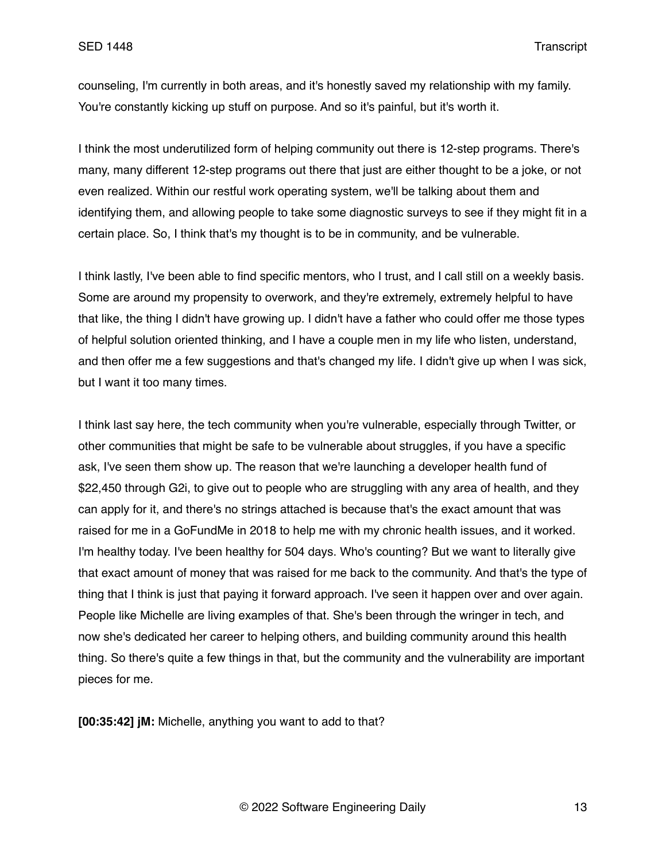counseling, I'm currently in both areas, and it's honestly saved my relationship with my family. You're constantly kicking up stuff on purpose. And so it's painful, but it's worth it.

I think the most underutilized form of helping community out there is 12-step programs. There's many, many different 12-step programs out there that just are either thought to be a joke, or not even realized. Within our restful work operating system, we'll be talking about them and identifying them, and allowing people to take some diagnostic surveys to see if they might fit in a certain place. So, I think that's my thought is to be in community, and be vulnerable.

I think lastly, I've been able to find specific mentors, who I trust, and I call still on a weekly basis. Some are around my propensity to overwork, and they're extremely, extremely helpful to have that like, the thing I didn't have growing up. I didn't have a father who could offer me those types of helpful solution oriented thinking, and I have a couple men in my life who listen, understand, and then offer me a few suggestions and that's changed my life. I didn't give up when I was sick, but I want it too many times.

I think last say here, the tech community when you're vulnerable, especially through Twitter, or other communities that might be safe to be vulnerable about struggles, if you have a specific ask, I've seen them show up. The reason that we're launching a developer health fund of \$22,450 through G2i, to give out to people who are struggling with any area of health, and they can apply for it, and there's no strings attached is because that's the exact amount that was raised for me in a GoFundMe in 2018 to help me with my chronic health issues, and it worked. I'm healthy today. I've been healthy for 504 days. Who's counting? But we want to literally give that exact amount of money that was raised for me back to the community. And that's the type of thing that I think is just that paying it forward approach. I've seen it happen over and over again. People like Michelle are living examples of that. She's been through the wringer in tech, and now she's dedicated her career to helping others, and building community around this health thing. So there's quite a few things in that, but the community and the vulnerability are important pieces for me.

**[00:35:42] jM:** Michelle, anything you want to add to that?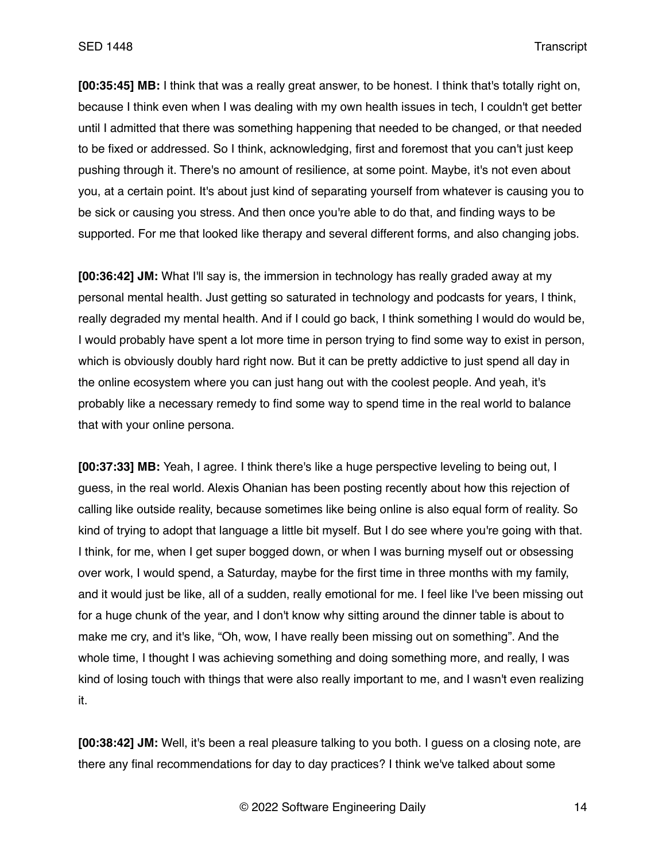**[00:35:45] MB:** I think that was a really great answer, to be honest. I think that's totally right on, because I think even when I was dealing with my own health issues in tech, I couldn't get better until I admitted that there was something happening that needed to be changed, or that needed to be fixed or addressed. So I think, acknowledging, first and foremost that you can't just keep pushing through it. There's no amount of resilience, at some point. Maybe, it's not even about you, at a certain point. It's about just kind of separating yourself from whatever is causing you to be sick or causing you stress. And then once you're able to do that, and finding ways to be supported. For me that looked like therapy and several different forms, and also changing jobs.

**[00:36:42] JM:** What I'll say is, the immersion in technology has really graded away at my personal mental health. Just getting so saturated in technology and podcasts for years, I think, really degraded my mental health. And if I could go back, I think something I would do would be, I would probably have spent a lot more time in person trying to find some way to exist in person, which is obviously doubly hard right now. But it can be pretty addictive to just spend all day in the online ecosystem where you can just hang out with the coolest people. And yeah, it's probably like a necessary remedy to find some way to spend time in the real world to balance that with your online persona.

**[00:37:33] MB:** Yeah, I agree. I think there's like a huge perspective leveling to being out, I guess, in the real world. Alexis Ohanian has been posting recently about how this rejection of calling like outside reality, because sometimes like being online is also equal form of reality. So kind of trying to adopt that language a little bit myself. But I do see where you're going with that. I think, for me, when I get super bogged down, or when I was burning myself out or obsessing over work, I would spend, a Saturday, maybe for the first time in three months with my family, and it would just be like, all of a sudden, really emotional for me. I feel like I've been missing out for a huge chunk of the year, and I don't know why sitting around the dinner table is about to make me cry, and it's like, "Oh, wow, I have really been missing out on something". And the whole time, I thought I was achieving something and doing something more, and really, I was kind of losing touch with things that were also really important to me, and I wasn't even realizing it.

**[00:38:42] JM:** Well, it's been a real pleasure talking to you both. I guess on a closing note, are there any final recommendations for day to day practices? I think we've talked about some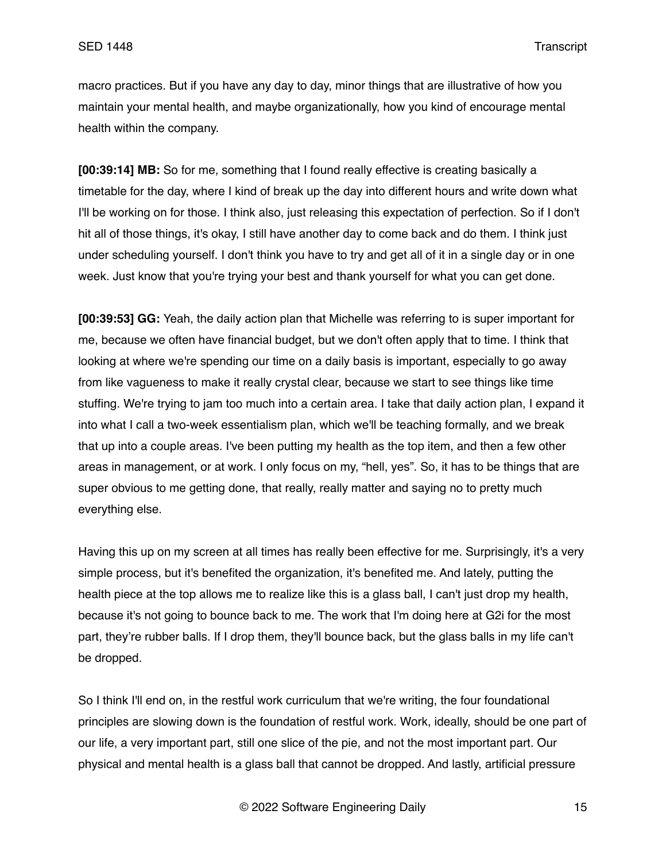macro practices. But if you have any day to day, minor things that are illustrative of how you maintain your mental health, and maybe organizationally, how you kind of encourage mental health within the company.

**[00:39:14] MB:** So for me, something that I found really effective is creating basically a timetable for the day, where I kind of break up the day into different hours and write down what I'll be working on for those. I think also, just releasing this expectation of perfection. So if I don't hit all of those things, it's okay, I still have another day to come back and do them. I think just under scheduling yourself. I don't think you have to try and get all of it in a single day or in one week. Just know that you're trying your best and thank yourself for what you can get done.

**[00:39:53] GG:** Yeah, the daily action plan that Michelle was referring to is super important for me, because we often have financial budget, but we don't often apply that to time. I think that looking at where we're spending our time on a daily basis is important, especially to go away from like vagueness to make it really crystal clear, because we start to see things like time stuffing. We're trying to jam too much into a certain area. I take that daily action plan, I expand it into what I call a two-week essentialism plan, which we'll be teaching formally, and we break that up into a couple areas. I've been putting my health as the top item, and then a few other areas in management, or at work. I only focus on my, "hell, yes". So, it has to be things that are super obvious to me getting done, that really, really matter and saying no to pretty much everything else.

Having this up on my screen at all times has really been effective for me. Surprisingly, it's a very simple process, but it's benefited the organization, it's benefited me. And lately, putting the health piece at the top allows me to realize like this is a glass ball, I can't just drop my health, because it's not going to bounce back to me. The work that I'm doing here at G2i for the most part, they're rubber balls. If I drop them, they'll bounce back, but the glass balls in my life can't be dropped.

So I think I'll end on, in the restful work curriculum that we're writing, the four foundational principles are slowing down is the foundation of restful work. Work, ideally, should be one part of our life, a very important part, still one slice of the pie, and not the most important part. Our physical and mental health is a glass ball that cannot be dropped. And lastly, artificial pressure